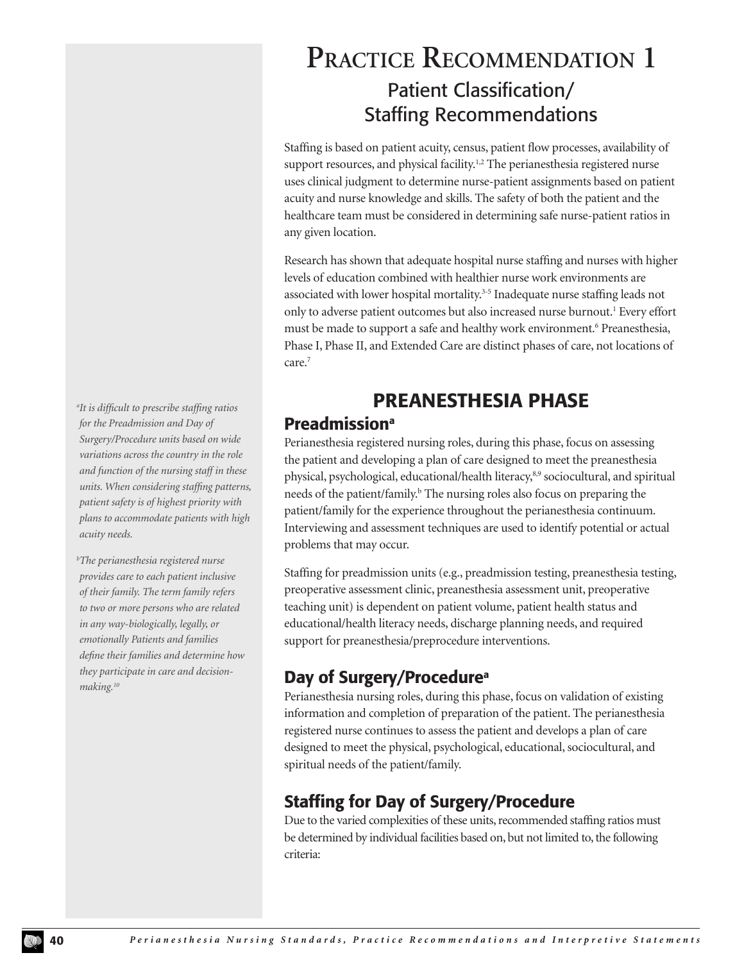# **Practice Recommendation 1** Patient Classification/ Staffing Recommendations

Staffing is based on patient acuity, census, patient flow processes, availability of support resources, and physical facility.<sup>1,2</sup> The perianesthesia registered nurse uses clinical judgment to determine nurse-patient assignments based on patient acuity and nurse knowledge and skills. The safety of both the patient and the healthcare team must be considered in determining safe nurse-patient ratios in any given location.

Research has shown that adequate hospital nurse staffing and nurses with higher levels of education combined with healthier nurse work environments are associated with lower hospital mortality.<sup>3-5</sup> Inadequate nurse staffing leads not only to adverse patient outcomes but also increased nurse burnout.<sup>1</sup> Every effort must be made to support a safe and healthy work environment.<sup>6</sup> Preanesthesia, Phase I, Phase II, and Extended Care are distinct phases of care, not locations of care.<sup>7</sup>

# PREANESTHESIA PHASE

### **Preadmission**ª

Perianesthesia registered nursing roles, during this phase, focus on assessing the patient and developing a plan of care designed to meet the preanesthesia physical, psychological, educational/health literacy,8,9 sociocultural, and spiritual needs of the patient/family.<sup>b</sup> The nursing roles also focus on preparing the patient/family for the experience throughout the perianesthesia continuum. Interviewing and assessment techniques are used to identify potential or actual problems that may occur.

Staffing for preadmission units (e.g., preadmission testing, preanesthesia testing, preoperative assessment clinic, preanesthesia assessment unit, preoperative teaching unit) is dependent on patient volume, patient health status and educational/health literacy needs, discharge planning needs, and required support for preanesthesia/preprocedure interventions.

### Day of Surgery/Procedure<sup>a</sup>

Perianesthesia nursing roles, during this phase, focus on validation of existing information and completion of preparation of the patient. The perianesthesia registered nurse continues to assess the patient and develops a plan of care designed to meet the physical, psychological, educational, sociocultural, and spiritual needs of the patient/family.

## Staffing for Day of Surgery/Procedure

Due to the varied complexities of these units, recommended staffing ratios must be determined by individual facilities based on, but not limited to, the following criteria:

*a It is difficult to prescribe staffing ratios for the Preadmission and Day of Surgery/Procedure units based on wide variations across the country in the role and function of the nursing staff in these units. When considering staffing patterns, patient safety is of highest priority with plans to accommodate patients with high acuity needs.*

*b The perianesthesia registered nurse provides care to each patient inclusive of their family. The term family refers to two or more persons who are related in any way-biologically, legally, or emotionally Patients and families define their families and determine how they participate in care and decisionmaking.10*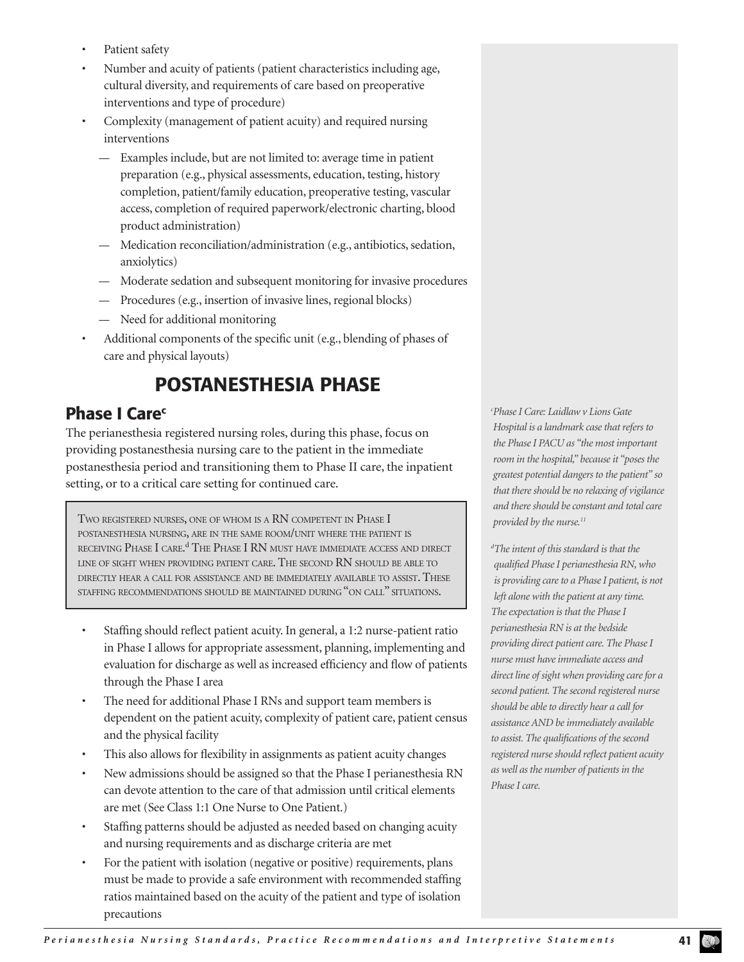- Patient safety
- Number and acuity of patients (patient characteristics including age, cultural diversity, and requirements of care based on preoperative interventions and type of procedure)
- Complexity (management of patient acuity) and required nursing interventions
	- Examples include, but are not limited to: average time in patient preparation (e.g., physical assessments, education, testing, history completion, patient/family education, preoperative testing, vascular access, completion of required paperwork/electronic charting, blood product administration)
	- Medication reconciliation/administration (e.g., antibiotics, sedation, anxiolytics)
	- Moderate sedation and subsequent monitoring for invasive procedures
	- Procedures (e.g., insertion of invasive lines, regional blocks)
	- Need for additional monitoring
- Additional components of the specific unit (e.g., blending of phases of care and physical layouts)

# POSTANESTHESIA PHASE

### **Phase I Carec**

The perianesthesia registered nursing roles, during this phase, focus on providing postanesthesia nursing care to the patient in the immediate postanesthesia period and transitioning them to Phase II care, the inpatient setting, or to a critical care setting for continued care.

Two registered nurses, one of whom is a RN competent in Phase I postanesthesia nursing, are in the same room/unit where the patient is receiving Phase I care.<sup>d</sup> The Phase I RN must have immediate access and direct line of sight when providing patient care. The second RN should be able to directly hear a call for assistance and be immediately available to assist. These staffing recommendations should be maintained during "on call" situations.

- Staffing should reflect patient acuity. In general, a 1:2 nurse-patient ratio in Phase I allows for appropriate assessment, planning, implementing and evaluation for discharge as well as increased efficiency and flow of patients through the Phase I area
- The need for additional Phase I RNs and support team members is dependent on the patient acuity, complexity of patient care, patient census and the physical facility
- This also allows for flexibility in assignments as patient acuity changes
- New admissions should be assigned so that the Phase I perianesthesia RN can devote attention to the care of that admission until critical elements are met (See Class 1:1 One Nurse to One Patient.)
- Staffing patterns should be adjusted as needed based on changing acuity and nursing requirements and as discharge criteria are met
- For the patient with isolation (negative or positive) requirements, plans must be made to provide a safe environment with recommended staffing ratios maintained based on the acuity of the patient and type of isolation precautions

*c Phase I Care: Laidlaw v Lions Gate Hospital is a landmark case that refers to the Phase I PACU as "the most important room in the hospital," because it "poses the greatest potential dangers to the patient" so that there should be no relaxing of vigilance and there should be constant and total care provided by the nurse.11*

*d The intent of this standard is that the qualified Phase I perianesthesia RN, who is providing care to a Phase I patient, is not left alone with the patient at any time. The expectation is that the Phase I perianesthesia RN is at the bedside providing direct patient care. The Phase I nurse must have immediate access and direct line of sight when providing care for a second patient. The second registered nurse should be able to directly hear a call for assistance AND be immediately available to assist. The qualifications of the second registered nurse should reflect patient acuity as well as the number of patients in the Phase I care.*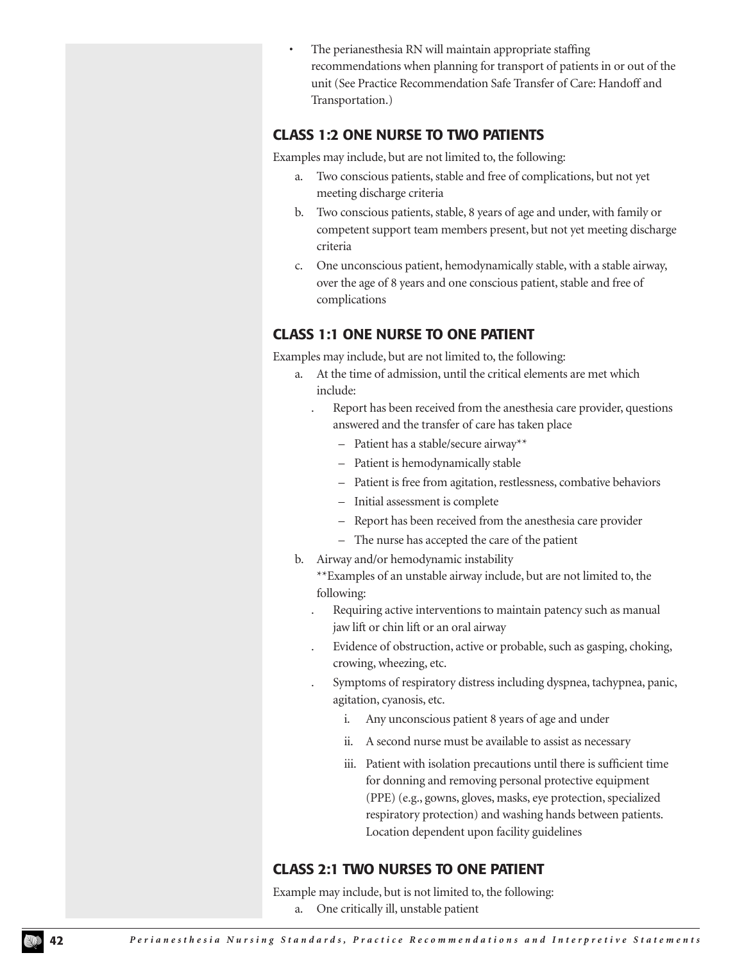The perianesthesia RN will maintain appropriate staffing recommendations when planning for transport of patients in or out of the unit (See Practice Recommendation Safe Transfer of Care: Handoff and Transportation.)

#### CLASS 1:2 ONE NURSE TO TWO PATIENTS

Examples may include, but are not limited to, the following:

- a. Two conscious patients, stable and free of complications, but not yet meeting discharge criteria
- b. Two conscious patients, stable, 8 years of age and under, with family or competent support team members present, but not yet meeting discharge criteria
- c. One unconscious patient, hemodynamically stable, with a stable airway, over the age of 8 years and one conscious patient, stable and free of complications

#### CLASS 1:1 ONE NURSE TO ONE PATIENT

Examples may include, but are not limited to, the following:

- a. At the time of admission, until the critical elements are met which include:
	- . Report has been received from the anesthesia care provider, questions answered and the transfer of care has taken place
		- Patient has a stable/secure airway\*\*
		- Patient is hemodynamically stable
		- Patient is free from agitation, restlessness, combative behaviors
		- Initial assessment is complete
		- Report has been received from the anesthesia care provider
		- The nurse has accepted the care of the patient
- b. Airway and/or hemodynamic instability

\*\*Examples of an unstable airway include, but are not limited to, the following:

- . Requiring active interventions to maintain patency such as manual jaw lift or chin lift or an oral airway
- . Evidence of obstruction, active or probable, such as gasping, choking, crowing, wheezing, etc.
- . Symptoms of respiratory distress including dyspnea, tachypnea, panic, agitation, cyanosis, etc.
	- i. Any unconscious patient 8 years of age and under
	- ii. A second nurse must be available to assist as necessary
	- iii. Patient with isolation precautions until there is sufficient time for donning and removing personal protective equipment (PPE) (e.g., gowns, gloves, masks, eye protection, specialized respiratory protection) and washing hands between patients. Location dependent upon facility guidelines

### CLASS 2:1 TWO NURSES TO ONE PATIENT

Example may include, but is not limited to, the following: a. One critically ill, unstable patient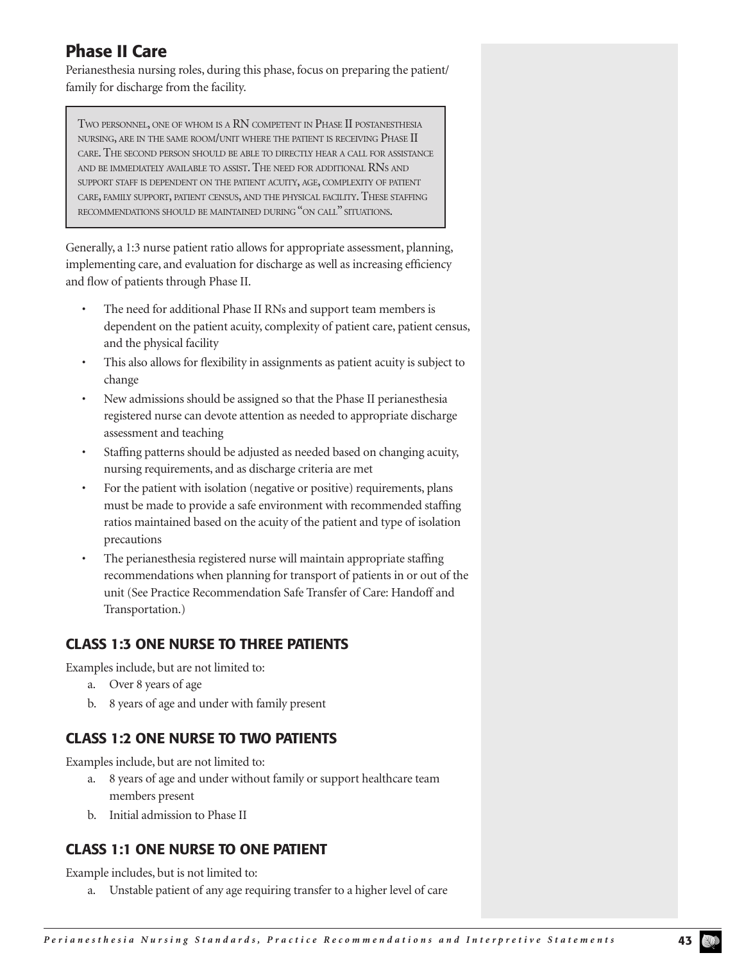### Phase II Care

Perianesthesia nursing roles, during this phase, focus on preparing the patient/ family for discharge from the facility.

Two personnel, one of whom is <sup>a</sup> RN competent in Phase II postanesthesia nursing, are in the same room/unit where the patient is receiving Phase II care. The second person should be able to directly hear <sup>a</sup> call for assistance and be immediately available to assist. The need for additional RNs and support staff is dependent on the patient acuity, age, complexity of patient care, family support, patient census, and the physical facility. These staffing recommendations should be maintained during "on call" situations.

Generally, a 1:3 nurse patient ratio allows for appropriate assessment, planning, implementing care, and evaluation for discharge as well as increasing efficiency and flow of patients through Phase II.

- The need for additional Phase II RNs and support team members is dependent on the patient acuity, complexity of patient care, patient census, and the physical facility
- This also allows for flexibility in assignments as patient acuity is subject to change
- New admissions should be assigned so that the Phase II perianesthesia registered nurse can devote attention as needed to appropriate discharge assessment and teaching
- Staffing patterns should be adjusted as needed based on changing acuity, nursing requirements, and as discharge criteria are met
- For the patient with isolation (negative or positive) requirements, plans must be made to provide a safe environment with recommended staffing ratios maintained based on the acuity of the patient and type of isolation precautions
- The perianesthesia registered nurse will maintain appropriate staffing recommendations when planning for transport of patients in or out of the unit (See Practice Recommendation Safe Transfer of Care: Handoff and Transportation.)

### CLASS 1:3 ONE NURSE TO THREE PATIENTS

Examples include, but are not limited to:

- a. Over 8 years of age
- b. 8 years of age and under with family present

### CLASS 1:2 ONE NURSE TO TWO PATIENTS

Examples include, but are not limited to:

- a. 8 years of age and under without family or support healthcare team members present
- b. Initial admission to Phase II

#### CLASS 1:1 ONE NURSE TO ONE PATIENT

Example includes, but is not limited to:

a. Unstable patient of any age requiring transfer to a higher level of care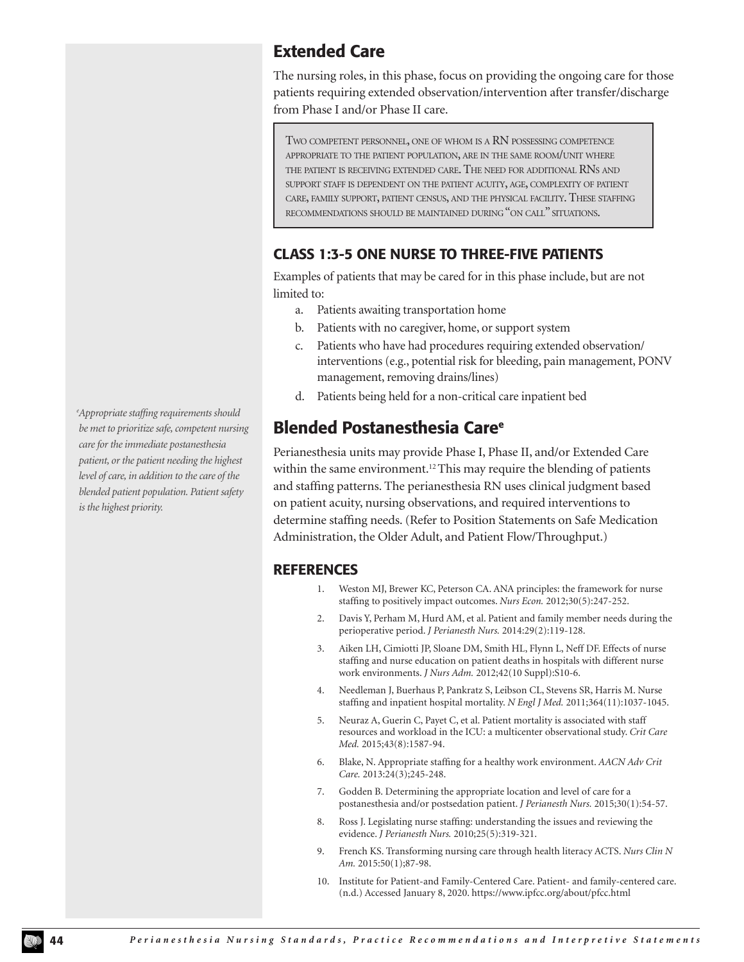### Extended Care

The nursing roles, in this phase, focus on providing the ongoing care for those patients requiring extended observation/intervention after transfer/discharge from Phase I and/or Phase II care.

Two competent personnel, one of whom is <sup>a</sup> RN possessing competence appropriate to the patient population, are in the same room/unit where the patient is receiving extended care. The need for additional RNs and support staff is dependent on the patient acuity, age, complexity of patient care, family support, patient census, and the physical facility. These staffing recommendations should be maintained during "on call" situations.

#### CLASS 1:3-5 ONE NURSE TO THREE-FIVE PATIENTS

Examples of patients that may be cared for in this phase include, but are not limited to:

- a. Patients awaiting transportation home
- b. Patients with no caregiver, home, or support system
- c. Patients who have had procedures requiring extended observation/ interventions (e.g., potential risk for bleeding, pain management, PONV management, removing drains/lines)
- d. Patients being held for a non-critical care inpatient bed

### Blended Postanesthesia Caree

Perianesthesia units may provide Phase I, Phase II, and/or Extended Care within the same environment.<sup>12</sup> This may require the blending of patients and staffing patterns. The perianesthesia RN uses clinical judgment based on patient acuity, nursing observations, and required interventions to determine staffing needs. (Refer to Position Statements on Safe Medication Administration, the Older Adult, and Patient Flow/Throughput.)

#### REFERENCES

- 1. Weston MJ, Brewer KC, Peterson CA. ANA principles: the framework for nurse staffing to positively impact outcomes. *Nurs Econ.* 2012;30(5):247-252.
- 2. Davis Y, Perham M, Hurd AM, et al. Patient and family member needs during the perioperative period. *J Perianesth Nurs.* 2014:29(2):119-128.
- 3. Aiken LH, Cimiotti JP, Sloane DM, Smith HL, Flynn L, Neff DF. Effects of nurse staffing and nurse education on patient deaths in hospitals with different nurse work environments. *J Nurs Adm.* 2012;42(10 Suppl):S10-6.
- 4. Needleman J, Buerhaus P, Pankratz S, Leibson CL, Stevens SR, Harris M. Nurse staffing and inpatient hospital mortality. *N Engl J Med.* 2011;364(11):1037-1045.
- 5. Neuraz A, Guerin C, Payet C, et al. Patient mortality is associated with staff resources and workload in the ICU: a multicenter observational study. *Crit Care Med.* 2015;43(8):1587-94.
- 6. Blake, N. Appropriate staffing for a healthy work environment. *AACN Adv Crit Care.* 2013:24(3);245-248.
- 7. Godden B. Determining the appropriate location and level of care for a postanesthesia and/or postsedation patient. *J Perianesth Nurs.* 2015;30(1):54-57.
- 8. Ross J. Legislating nurse staffing: understanding the issues and reviewing the evidence. *J Perianesth Nurs.* 2010;25(5):319-321.
- 9. French KS. Transforming nursing care through health literacy ACTS. *Nurs Clin N Am.* 2015:50(1);87-98.
- 10. Institute for Patient-and Family-Centered Care. Patient- and family-centered care. (n.d.) Accessed January 8, 2020. https://www.ipfcc.org/about/pfcc.html

*e Appropriate staffing requirements should be met to prioritize safe, competent nursing care for the immediate postanesthesia patient, or the patient needing the highest level of care, in addition to the care of the blended patient population. Patient safety is the highest priority.*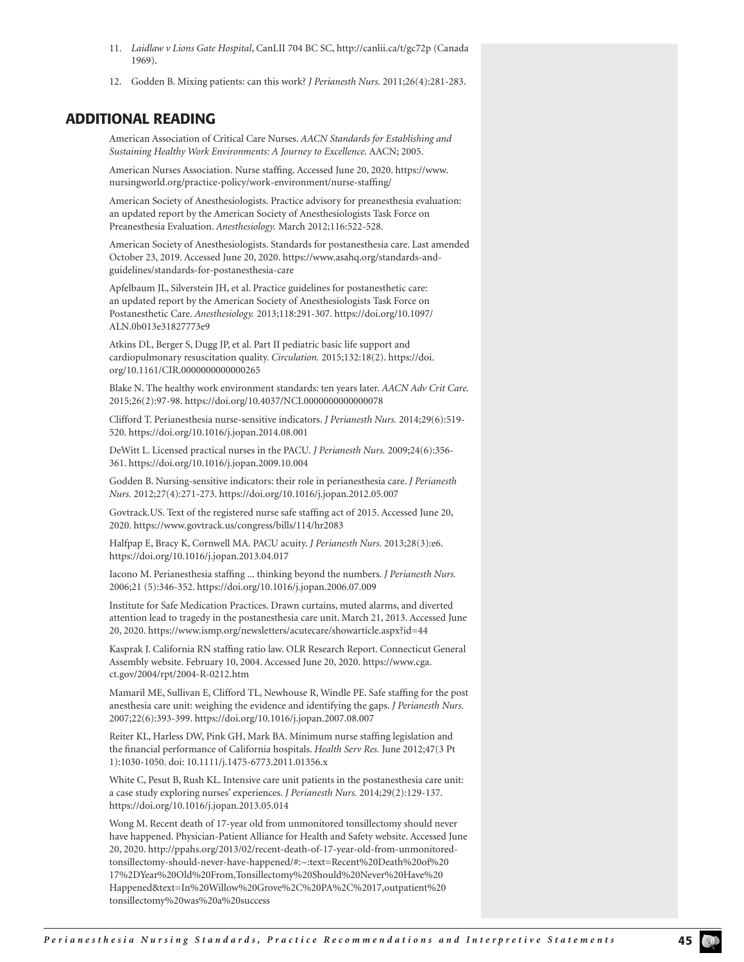- 11. *Laidlaw v Lions Gate Hospital*, CanLII 704 BC SC, http://canlii.ca/t/gc72p (Canada 1969).
- 12. Godden B. Mixing patients: can this work? *J Perianesth Nurs.* 2011;26(4):281-283.

#### ADDITIONAL READING

American Association of Critical Care Nurses. *AACN Standards for Establishing and Sustaining Healthy Work Environments: A Journey to Excellence.* AACN; 2005.

American Nurses Association. Nurse staffing. Accessed June 20, 2020. https://www. nursingworld.org/practice-policy/work-environment/nurse-staffing/

American Society of Anesthesiologists. Practice advisory for preanesthesia evaluation: an updated report by the American Society of Anesthesiologists Task Force on Preanesthesia Evaluation. *Anesthesiology.* March 2012;116:522-528.

American Society of Anesthesiologists. Standards for postanesthesia care. Last amended October 23, 2019. Accessed June 20, 2020. https://www.asahq.org/standards-andguidelines/standards-for-postanesthesia-care

Apfelbaum JL, Silverstein JH, et al. Practice guidelines for postanesthetic care: an updated report by the American Society of Anesthesiologists Task Force on Postanesthetic Care. *Anesthesiology.* 2013;118:291-307. https://doi.org/10.1097/ ALN.0b013e31827773e9

Atkins DL, Berger S, Dugg JP, et al. Part II pediatric basic life support and cardiopulmonary resuscitation quality. *Circulation.* 2015;132:18(2). https://doi. org/10.1161/CIR.0000000000000265

Blake N. The healthy work environment standards: ten years later. *AACN Adv Crit Care.* 2015;26(2):97-98. https://doi.org/10.4037/NCI.0000000000000078

Clifford T. Perianesthesia nurse-sensitive indicators. *J Perianesth Nurs.* 2014;29(6):519- 520. https://doi.org/10.1016/j.jopan.2014.08.001

DeWitt L. Licensed practical nurses in the PACU. *J Perianesth Nurs.* 2009;24(6):356- 361. https://doi.org/10.1016/j.jopan.2009.10.004

Godden B. Nursing-sensitive indicators: their role in perianesthesia care. *J Perianesth Nurs.* 2012;27(4):271-273. https://doi.org/10.1016/j.jopan.2012.05.007

Govtrack.US. Text of the registered nurse safe staffing act of 2015. Accessed June 20, 2020. https://www.govtrack.us/congress/bills/114/hr2083

Halfpap E, Bracy K, Cornwell MA. PACU acuity. *J Perianesth Nurs.* 2013;28(3):e6. https://doi.org/10.1016/j.jopan.2013.04.017

Iacono M. Perianesthesia staffing ... thinking beyond the numbers. *J Perianesth Nurs.* 2006;21 (5):346-352. https://doi.org/10.1016/j.jopan.2006.07.009

Institute for Safe Medication Practices. Drawn curtains, muted alarms, and diverted attention lead to tragedy in the postanesthesia care unit. March 21, 2013. Accessed June 20, 2020. https://www.ismp.org/newsletters/acutecare/showarticle.aspx?id=44

Kasprak J. California RN staffing ratio law. OLR Research Report. Connecticut General Assembly website. February 10, 2004. Accessed June 20, 2020. https://www.cga. ct.gov/2004/rpt/2004-R-0212.htm

Mamaril ME, Sullivan E, Clifford TL, Newhouse R, Windle PE. Safe staffing for the post anesthesia care unit: weighing the evidence and identifying the gaps. *J Perianesth Nurs.* 2007;22(6):393-399. https://doi.org/10.1016/j.jopan.2007.08.007

Reiter KL, Harless DW, Pink GH, Mark BA. Minimum nurse staffing legislation and the financial performance of California hospitals. *Health Serv Res.* June 2012;47(3 Pt 1):1030-1050. doi: 10.1111/j.1475-6773.2011.01356.x

White C, Pesut B, Rush KL. Intensive care unit patients in the postanesthesia care unit: a case study exploring nurses' experiences. *J Perianesth Nurs.* 2014;29(2):129-137. https://doi.org/10.1016/j.jopan.2013.05.014

Wong M. Recent death of 17-year old from unmonitored tonsillectomy should never have happened. Physician-Patient Alliance for Health and Safety website. Accessed June 20, 2020. http://ppahs.org/2013/02/recent-death-of-17-year-old-from-unmonitoredtonsillectomy-should-never-have-happened/#:~:text=Recent%20Death%20of%20 17%2DYear%20Old%20From,Tonsillectomy%20Should%20Never%20Have%20 Happened&text=In%20Willow%20Grove%2C%20PA%2C%2017,outpatient%20 tonsillectomy%20was%20a%20success